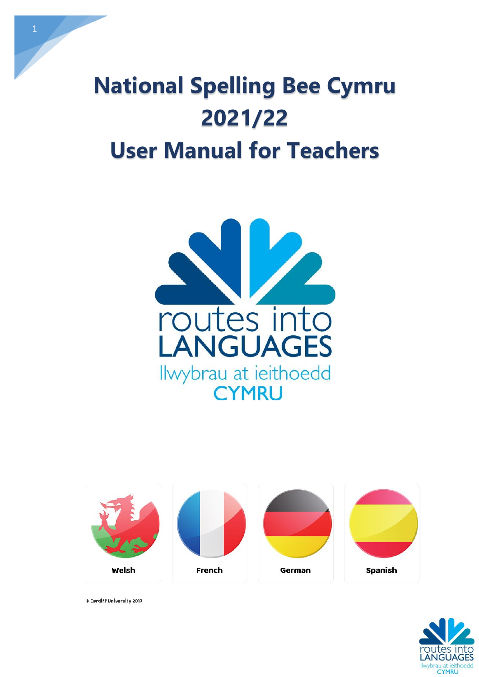







© Cardiff University 2017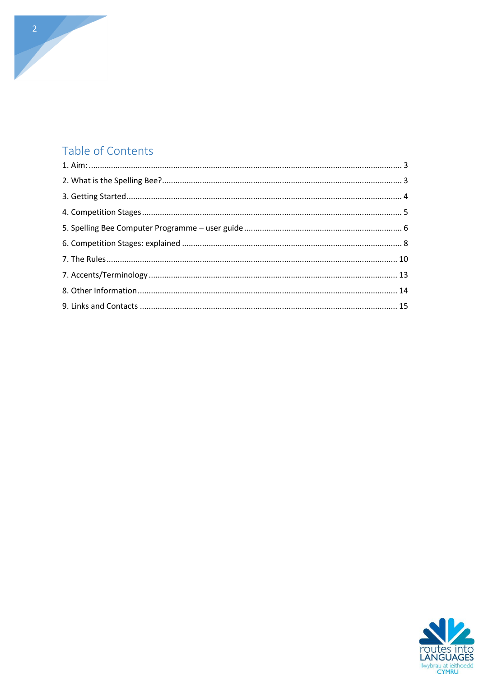#### Table of Contents

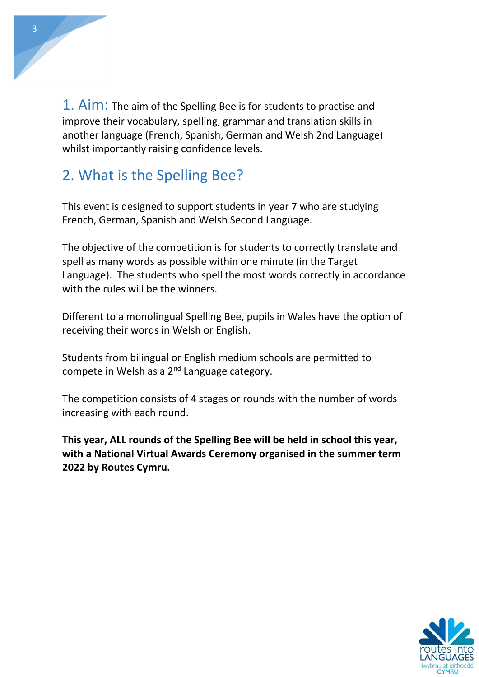<span id="page-2-0"></span>1. Aim: The aim of the Spelling Bee is for students to practise and improve their vocabulary, spelling, grammar and translation skills in another language (French, Spanish, German and Welsh 2nd Language) whilst importantly raising confidence levels.

## <span id="page-2-1"></span>2. What is the Spelling Bee?

This event is designed to support students in year 7 who are studying French, German, Spanish and Welsh Second Language.

The objective of the competition is for students to correctly translate and spell as many words as possible within one minute (in the Target Language). The students who spell the most words correctly in accordance with the rules will be the winners.

Different to a monolingual Spelling Bee, pupils in Wales have the option of receiving their words in Welsh or English.

Students from bilingual or English medium schools are permitted to compete in Welsh as a 2<sup>nd</sup> Language category.

The competition consists of 4 stages or rounds with the number of words increasing with each round.

**This year, ALL rounds of the Spelling Bee will be held in school this year, with a National Virtual Awards Ceremony organised in the summer term 2022 by Routes Cymru.**

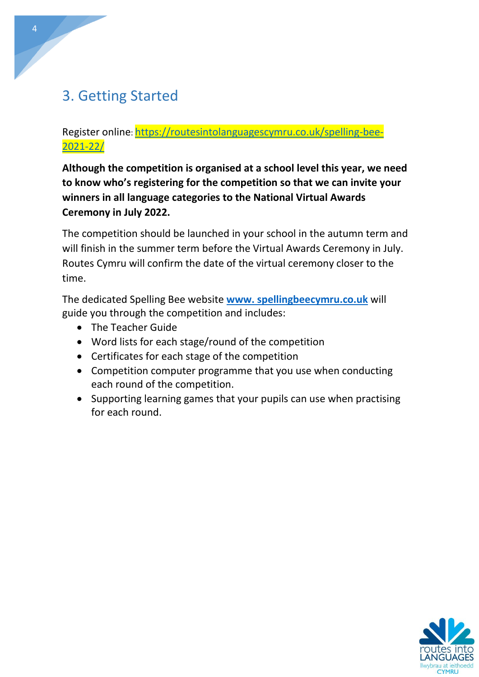## <span id="page-3-0"></span>3. Getting Started

Register online: [https://routesintolanguagescymru.co.uk/spelling-bee-](https://routesintolanguagescymru.co.uk/spelling-bee-2021-22/)[2021-22/](https://routesintolanguagescymru.co.uk/spelling-bee-2021-22/)

**Although the competition is organised at a school level this year, we need to know who's registering for the competition so that we can invite your winners in all language categories to the National Virtual Awards Ceremony in July 2022.**

The competition should be launched in your school in the autumn term and will finish in the summer term before the Virtual Awards Ceremony in July. Routes Cymru will confirm the date of the virtual ceremony closer to the time.

The dedicated Spelling Bee website **[www. spellingbeecymru.co.uk](http://spellingbeecymru.co.uk/)** will guide you through the competition and includes:

- The Teacher Guide
- Word lists for each stage/round of the competition
- Certificates for each stage of the competition
- Competition computer programme that you use when conducting each round of the competition.
- <span id="page-3-1"></span>• Supporting learning games that your pupils can use when practising for each round.

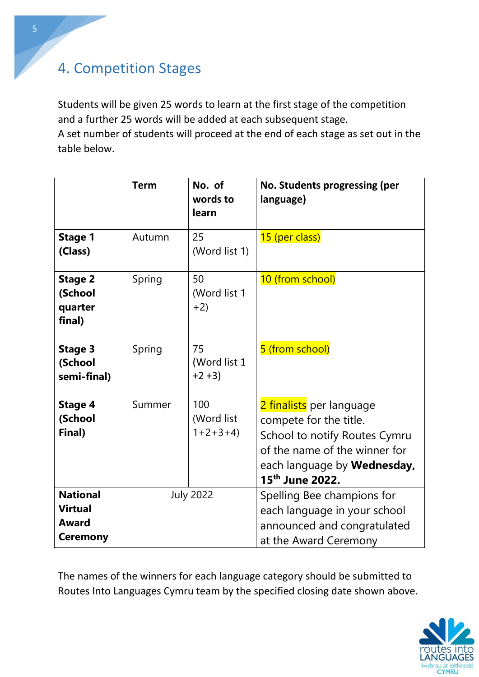## 4. Competition Stages

Students will be given 25 words to learn at the first stage of the competition and a further 25 words will be added at each subsequent stage.

A set number of students will proceed at the end of each stage as set out in the table below.

|                                                                      | <b>Term</b> | No. of<br>words to<br>learn    | No. Students progressing (per<br>language)                                                                                                                                                 |
|----------------------------------------------------------------------|-------------|--------------------------------|--------------------------------------------------------------------------------------------------------------------------------------------------------------------------------------------|
| <b>Stage 1</b><br>(Class)                                            | Autumn      | 25<br>(Word list 1)            | 15 (per class)                                                                                                                                                                             |
| <b>Stage 2</b><br>(School<br>quarter<br>final)                       | Spring      | 50<br>(Word list 1<br>$+2)$    | 10 (from school)                                                                                                                                                                           |
| <b>Stage 3</b><br>(School<br>semi-final)                             | Spring      | 75<br>(Word list 1<br>$+2+3$   | 5 (from school)                                                                                                                                                                            |
| <b>Stage 4</b><br>(School<br>Final)                                  | Summer      | 100<br>(Word list<br>$1+2+3+4$ | 2 finalists per language<br>compete for the title.<br>School to notify Routes Cymru<br>of the name of the winner for<br>each language by <b>Wednesday</b> ,<br>15 <sup>th</sup> June 2022. |
| <b>National</b><br><b>Virtual</b><br><b>Award</b><br><b>Ceremony</b> |             | <b>July 2022</b>               | Spelling Bee champions for<br>each language in your school<br>announced and congratulated<br>at the Award Ceremony                                                                         |

The names of the winners for each language category should be submitted to Routes Into Languages Cymru team by the specified closing date shown above.

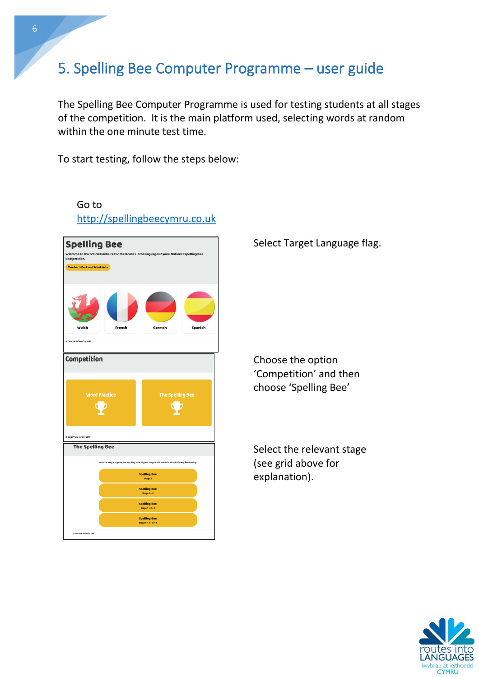## <span id="page-5-0"></span>5. Spelling Bee Computer Programme – user guide

The Spelling Bee Computer Programme is used for testing students at all stages of the competition. It is the main platform used, selecting words at random within the one minute test time.

To start testing, follow the steps below:

Go to



Select Target Language flag.

Choose the option 'Competition' and then choose 'Spelling Bee'

Select the relevant stage (see grid above for explanation).

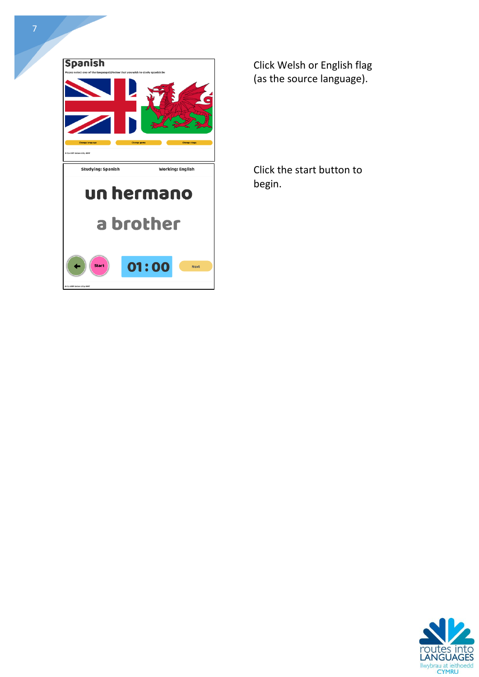

Click Welsh or English flag (as the source language).

Click the start button to begin.

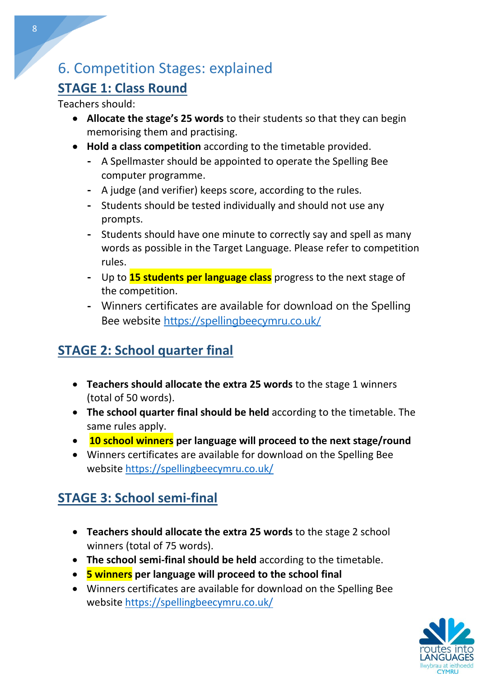## <span id="page-7-0"></span>6. Competition Stages: explained

### **STAGE 1: Class Round**

Teachers should:

- **Allocate the stage's 25 words** to their students so that they can begin memorising them and practising.
- **Hold a class competition** according to the timetable provided.
	- **-** A Spellmaster should be appointed to operate the Spelling Bee computer programme.
	- **-** A judge (and verifier) keeps score, according to the rules.
	- **-** Students should be tested individually and should not use any prompts.
	- **-** Students should have one minute to correctly say and spell as many words as possible in the Target Language. Please refer to competition rules.
	- **-** Up to **15 students per language class** progress to the next stage of the competition.
	- **-** Winners certificates are available for download on the Spelling Bee website<https://spellingbeecymru.co.uk/>

## **STAGE 2: School quarter final**

- **Teachers should allocate the extra 25 words** to the stage 1 winners (total of 50 words).
- **The school quarter final should be held** according to the timetable. The same rules apply.
- **10 school winners per language will proceed to the next stage/round**
- Winners certificates are available for download on the Spelling Bee website<https://spellingbeecymru.co.uk/>

## **STAGE 3: School semi-final**

- **Teachers should allocate the extra 25 words** to the stage 2 school winners (total of 75 words).
- **The school semi-final should be held** according to the timetable.
- **5 winners per language will proceed to the school final**
- Winners certificates are available for download on the Spelling Bee website<https://spellingbeecymru.co.uk/>

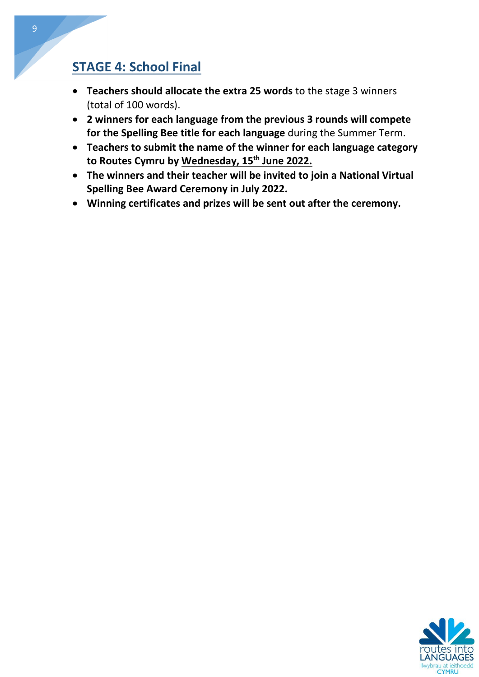#### **STAGE 4: School Final**

- **Teachers should allocate the extra 25 words** to the stage 3 winners (total of 100 words).
- **2 winners for each language from the previous 3 rounds will compete for the Spelling Bee title for each language** during the Summer Term.
- **Teachers to submit the name of the winner for each language category to Routes Cymru by Wednesday, 15th June 2022.**
- **The winners and their teacher will be invited to join a National Virtual Spelling Bee Award Ceremony in July 2022.**
- **Winning certificates and prizes will be sent out after the ceremony.**

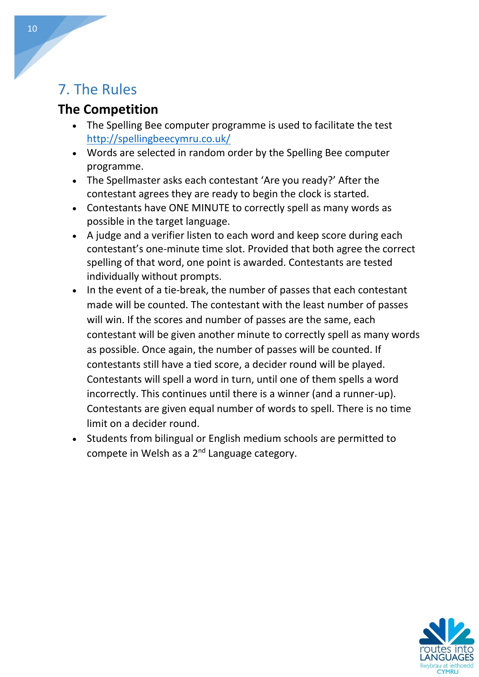## <span id="page-9-0"></span>7. The Rules

### **The Competition**

- The Spelling Bee computer programme is used to facilitate the test <http://spellingbeecymru.co.uk/>
- Words are selected in random order by the Spelling Bee computer programme.
- The Spellmaster asks each contestant 'Are you ready?' After the contestant agrees they are ready to begin the clock is started.
- Contestants have ONE MINUTE to correctly spell as many words as possible in the target language.
- A judge and a verifier listen to each word and keep score during each contestant's one-minute time slot. Provided that both agree the correct spelling of that word, one point is awarded. Contestants are tested individually without prompts.
- In the event of a tie-break, the number of passes that each contestant made will be counted. The contestant with the least number of passes will win. If the scores and number of passes are the same, each contestant will be given another minute to correctly spell as many words as possible. Once again, the number of passes will be counted. If contestants still have a tied score, a decider round will be played. Contestants will spell a word in turn, until one of them spells a word incorrectly. This continues until there is a winner (and a runner-up). Contestants are given equal number of words to spell. There is no time limit on a decider round.
- Students from bilingual or English medium schools are permitted to compete in Welsh as a  $2^{nd}$  Language category.

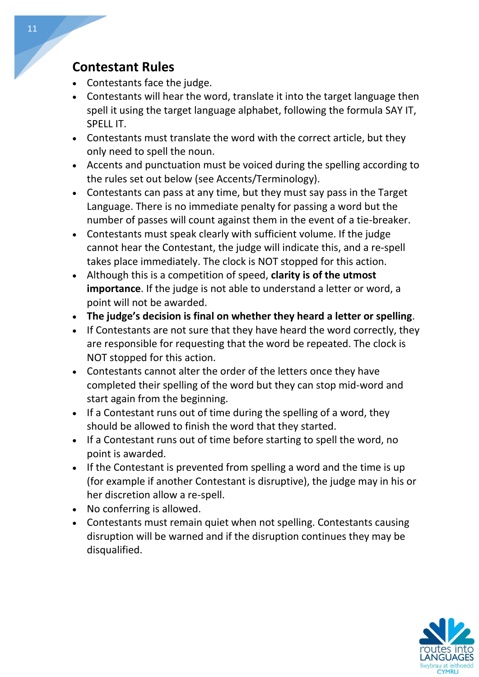#### **Contestant Rules**

- Contestants face the judge.
- Contestants will hear the word, translate it into the target language then spell it using the target language alphabet, following the formula SAY IT, SPELL IT.
- Contestants must translate the word with the correct article, but they only need to spell the noun.
- Accents and punctuation must be voiced during the spelling according to the rules set out below (see Accents/Terminology).
- Contestants can pass at any time, but they must say pass in the Target Language. There is no immediate penalty for passing a word but the number of passes will count against them in the event of a tie-breaker.
- Contestants must speak clearly with sufficient volume. If the judge cannot hear the Contestant, the judge will indicate this, and a re-spell takes place immediately. The clock is NOT stopped for this action.
- Although this is a competition of speed, **clarity is of the utmost importance**. If the judge is not able to understand a letter or word, a point will not be awarded.
- **The judge's decision is final on whether they heard a letter or spelling**.
- If Contestants are not sure that they have heard the word correctly, they are responsible for requesting that the word be repeated. The clock is NOT stopped for this action.
- Contestants cannot alter the order of the letters once they have completed their spelling of the word but they can stop mid-word and start again from the beginning.
- If a Contestant runs out of time during the spelling of a word, they should be allowed to finish the word that they started.
- If a Contestant runs out of time before starting to spell the word, no point is awarded.
- If the Contestant is prevented from spelling a word and the time is up (for example if another Contestant is disruptive), the judge may in his or her discretion allow a re-spell.
- No conferring is allowed.
- Contestants must remain quiet when not spelling. Contestants causing disruption will be warned and if the disruption continues they may be disqualified.

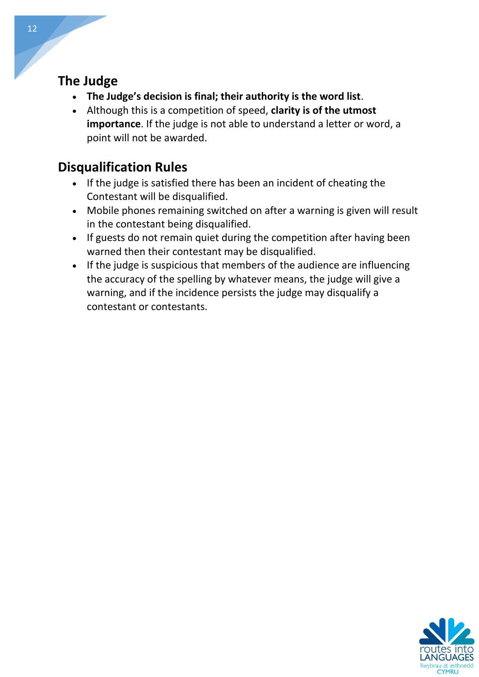#### **The Judge**

- **The Judge's decision is final; their authority is the word list**.
- Although this is a competition of speed, **clarity is of the utmost importance**. If the judge is not able to understand a letter or word, a point will not be awarded.

#### **Disqualification Rules**

- If the judge is satisfied there has been an incident of cheating the Contestant will be disqualified.
- Mobile phones remaining switched on after a warning is given will result in the contestant being disqualified.
- If guests do not remain quiet during the competition after having been warned then their contestant may be disqualified.
- If the judge is suspicious that members of the audience are influencing the accuracy of the spelling by whatever means, the judge will give a warning, and if the incidence persists the judge may disqualify a contestant or contestants.

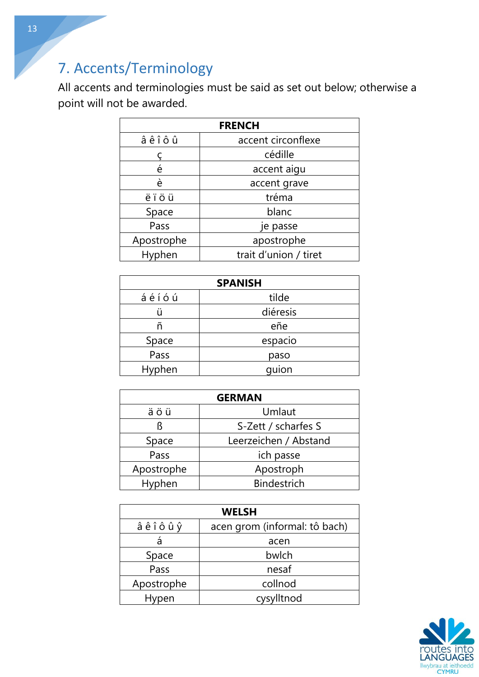# <span id="page-12-0"></span>7. Accents/Terminology

All accents and terminologies must be said as set out below; otherwise a point will not be awarded.

| <b>FRENCH</b> |                       |  |
|---------------|-----------------------|--|
| âêîôû         | accent circonflexe    |  |
|               | cédille               |  |
| é             | accent aigu           |  |
| è             | accent grave          |  |
| ëïöü          | tréma                 |  |
| Space         | blanc                 |  |
| Pass          | je passe              |  |
| Apostrophe    | apostrophe            |  |
| Hyphen        | trait d'union / tiret |  |

| <b>SPANISH</b> |          |  |
|----------------|----------|--|
| áéíóú          | tilde    |  |
|                | diéresis |  |
| ñ              | eñe      |  |
| Space          | espacio  |  |
| Pass           | paso     |  |
| Hyphen         | quion    |  |

| <b>GERMAN</b> |                       |  |  |
|---------------|-----------------------|--|--|
| äöü           | Umlaut                |  |  |
| ß             | S-Zett / scharfes S   |  |  |
| Space         | Leerzeichen / Abstand |  |  |
| Pass          | ich passe             |  |  |
| Apostrophe    | Apostroph             |  |  |
| Hyphen        | <b>Bindestrich</b>    |  |  |

| <b>WELSH</b> |                               |  |
|--------------|-------------------------------|--|
| âêîôûŷ       | acen grom (informal: tô bach) |  |
| à            | acen                          |  |
| Space        | bwlch                         |  |
| Pass         | nesaf                         |  |
| Apostrophe   | collnod                       |  |
| Hypen        | cysylltnod                    |  |

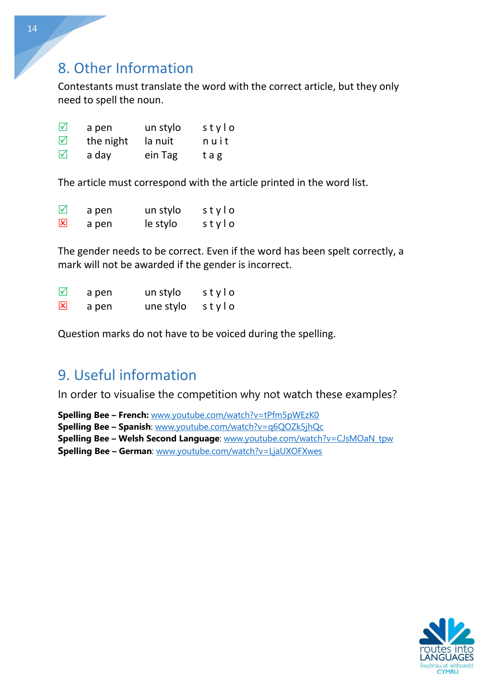### <span id="page-13-0"></span>8. Other Information

Contestants must translate the word with the correct article, but they only need to spell the noun.

| $\triangledown$ | a pen     | un stylo | stylo |
|-----------------|-----------|----------|-------|
| $\triangledown$ | the night | la nuit  | nuit  |
| $\triangledown$ | a day     | ein Tag  | tag   |

The article must correspond with the article printed in the word list.

| $\Delta$ | a pen | un stylo | stylo |
|----------|-------|----------|-------|
| 区        | a pen | le stylo | stylo |

The gender needs to be correct. Even if the word has been spelt correctly, a mark will not be awarded if the gender is incorrect.

| $\Delta$ | a pen | un stylo  | stylo |
|----------|-------|-----------|-------|
| 図        | a pen | une stylo | stylo |

Question marks do not have to be voiced during the spelling.

## 9. Useful information

In order to visualise the competition why not watch these examples?

**Spelling Bee – French:** [www.youtube.com/watch?v=tPfm5pWEzK0](http://www.youtube.com/watch?v=tPfm5pWEzK0)

**Spelling Bee – Spanish**: [www.youtube.com/watch?v=q6QOZk5jhQc](http://www.youtube.com/watch?v=q6QOZk5jhQc)

**Spelling Bee – Welsh Second Language**: [www.youtube.com/watch?v=CJsMOaN\\_tpw](http://www.youtube.com/watch?v=CJsMOaN_tpw)

**Spelling Bee – German**: [www.youtube.com/watch?v=LjaUXOFXwes](http://www.youtube.com/watch?v=LjaUXOFXwes)